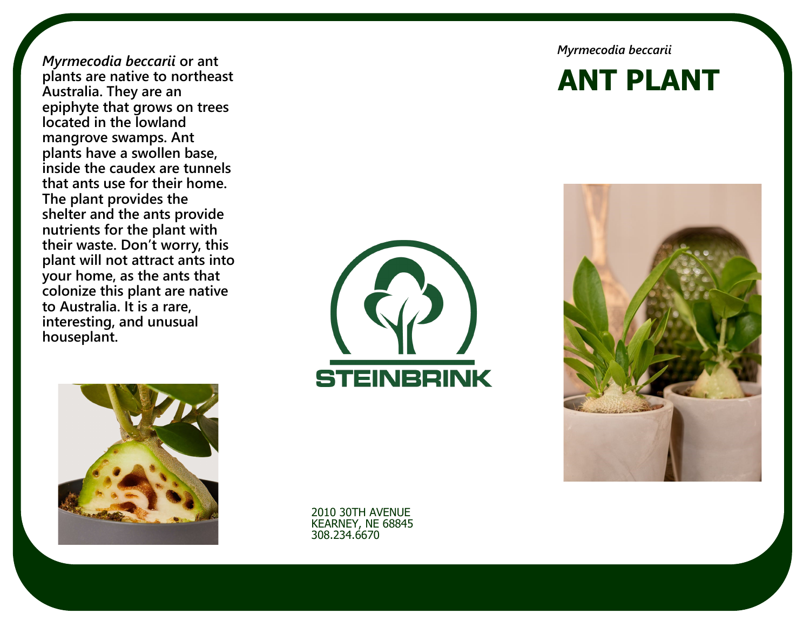*Myrmecodia beccarii* **or ant plants are native to northeast Australia. They are an epiphyte that grows on trees located in the lowland mangrove swamps. Ant plants have a swollen base, inside the caudex are tunnels that ants use for their home. The plant provides the shelter and the ants provide nutrients for the plant with their waste. Don't worry, this plant will not attract ants into your home, as the ants that colonize this plant are native to Australia. It is a rare, interesting, and unusual houseplant.**



*Myrmecodia beccarii*

# **ANT PLANT**





2010 30TH AVENUE KEARNEY, NE 68845 308.234.6670